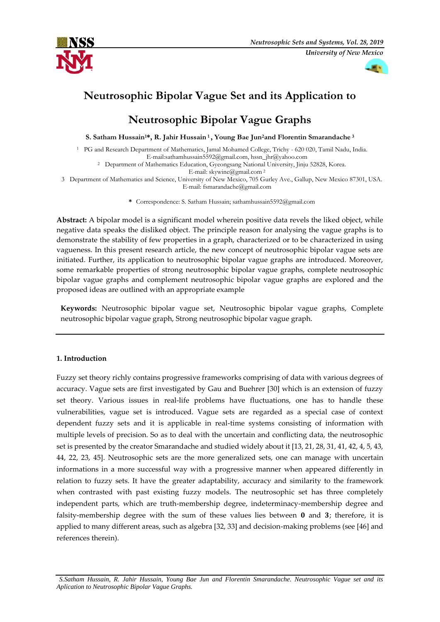



# **Neutrosophic Bipolar Vague Set and its Application to**

# **Neutrosophic Bipolar Vague Graphs**

**S. Satham Hussain1\*, R. Jahir Hussain <sup>1</sup> , Young Bae Jun2and Florentin Smarandache <sup>3</sup>**

<sup>1</sup> PG and Research Department of Mathematics, Jamal Mohamed College, Trichy - 620 020, Tamil Nadu, India. E-mail:sathamhussain5592@gmail.com, hssn\_jhr@yahoo.com

<sup>2</sup> Department of Mathematics Education, Gyeongsang National University, Jinju 52828, Korea.

E-mail: skywine@gmail.com <sup>2</sup>

3 Department of Mathematics and Science, University of New Mexico, 705 Gurley Ave., Gallup, New Mexico 87301, USA. E-mail: fsmarandache@gmail.com

**\*** Correspondence: S. Satham Hussain; sathamhussain5592@gmail.com

**Abstract:** A bipolar model is a significant model wherein positive data revels the liked object, while negative data speaks the disliked object. The principle reason for analysing the vague graphs is to demonstrate the stability of few properties in a graph, characterized or to be characterized in using vagueness. In this present research article, the new concept of neutrosophic bipolar vague sets are initiated. Further, its application to neutrosophic bipolar vague graphs are introduced. Moreover, some remarkable properties of strong neutrosophic bipolar vague graphs, complete neutrosophic bipolar vague graphs and complement neutrosophic bipolar vague graphs are explored and the proposed ideas are outlined with an appropriate example

**Keywords:** Neutrosophic bipolar vague set, Neutrosophic bipolar vague graphs, Complete neutrosophic bipolar vague graph, Strong neutrosophic bipolar vague graph.

## **1. Introduction**

Fuzzy set theory richly contains progressive frameworks comprising of data with various degrees of accuracy. Vague sets are first investigated by Gau and Buehrer [30] which is an extension of fuzzy set theory. Various issues in real-life problems have fluctuations, one has to handle these vulnerabilities, vague set is introduced. Vague sets are regarded as a special case of context dependent fuzzy sets and it is applicable in real-time systems consisting of information with multiple levels of precision. So as to deal with the uncertain and conflicting data, the neutrosophic set is presented by the creator Smarandache and studied widely about it [13, 21, 28, 31, 41, 42, 4, 5, 43, 44, 22, 23, 45]. Neutrosophic sets are the more generalized sets, one can manage with uncertain informations in a more successful way with a progressive manner when appeared differently in relation to fuzzy sets. It have the greater adaptability, accuracy and similarity to the framework when contrasted with past existing fuzzy models. The neutrosophic set has three completely independent parts, which are truth-membership degree, indeterminacy-membership degree and falsity-membership degree with the sum of these values lies between  $\bf{0}$  and  $\bf{3}$ ; therefore, it is applied to many different areas, such as algebra [32, 33] and decision-making problems (see [46] and references therein).

*S.Satham Hussain, R. Jahir Hussain, Young Bae Jun and Florentin Smarandache. Neutrosophic Vague set and its Aplication to Neutrosophic Bipolar Vague Graphs.*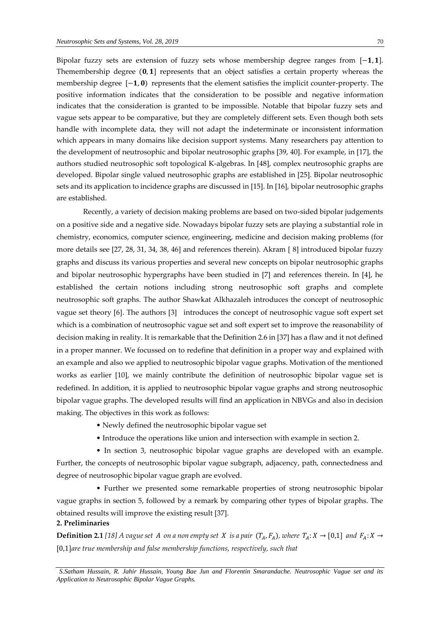Bipolar fuzzy sets are extension of fuzzy sets whose membership degree ranges from [-1,1]. Themembership degree  $(0, 1]$  represents that an object satisfies a certain property whereas the membership degree  $[-1, 0)$  represents that the element satisfies the implicit counter-property. The positive information indicates that the consideration to be possible and negative information indicates that the consideration is granted to be impossible. Notable that bipolar fuzzy sets and vague sets appear to be comparative, but they are completely different sets. Even though both sets handle with incomplete data, they will not adapt the indeterminate or inconsistent information which appears in many domains like decision support systems. Many researchers pay attention to the development of neutrosophic and bipolar neutrosophic graphs [39, 40]. For example, in [17], the authors studied neutrosophic soft topological K-algebras. In [48], complex neutrosophic graphs are developed. Bipolar single valued neutrosophic graphs are established in [25]. Bipolar neutrosophic sets and its application to incidence graphs are discussed in [15]. In [16], bipolar neutrosophic graphs are established.

Recently, a variety of decision making problems are based on two-sided bipolar judgements on a positive side and a negative side. Nowadays bipolar fuzzy sets are playing a substantial role in chemistry, economics, computer science, engineering, medicine and decision making problems (for more details see [27, 28, 31, 34, 38, 46] and references therein). Akram [ 8] introduced bipolar fuzzy graphs and discuss its various properties and several new concepts on bipolar neutrosophic graphs and bipolar neutrosophic hypergraphs have been studied in [7] and references therein. In [4], he established the certain notions including strong neutrosophic soft graphs and complete neutrosophic soft graphs. The author Shawkat Alkhazaleh introduces the concept of neutrosophic vague set theory [6]. The authors [3] introduces the concept of neutrosophic vague soft expert set which is a combination of neutrosophic vague set and soft expert set to improve the reasonability of decision making in reality. It is remarkable that the Definition 2.6 in [37] has a flaw and it not defined in a proper manner. We focussed on to redefine that definition in a proper way and explained with an example and also we applied to neutrosophic bipolar vague graphs. Motivation of the mentioned works as earlier [10], we mainly contribute the definition of neutrosophic bipolar vague set is redefined. In addition, it is applied to neutrosophic bipolar vague graphs and strong neutrosophic bipolar vague graphs. The developed results will find an application in NBVGs and also in decision making. The objectives in this work as follows:

- Newly defined the neutrosophic bipolar vague set
- Introduce the operations like union and intersection with example in section 2.

 • In section 3, neutrosophic bipolar vague graphs are developed with an example. Further, the concepts of neutrosophic bipolar vague subgraph, adjacency, path, connectedness and degree of neutrosophic bipolar vague graph are evolved.

 • Further we presented some remarkable properties of strong neutrosophic bipolar vague graphs in section 5, followed by a remark by comparing other types of bipolar graphs. The obtained results will improve the existing result [37].

# **2. Preliminaries**

**Definition 2.1** [18] A vague set A on a non empty set X is a pair  $(T_A, F_A)$ , where  $T_A: X \to [0,1]$  and  $F_A: X \to$ [0,1]*are true membership and false membership functions, respectively, such that* 

*S.Satham Hussain, R. Jahir Hussain, Young Bae Jun and Florentin Smarandache. Neutrosophic Vague set and its Application to Neutrosophic Bipolar Vague Graphs.*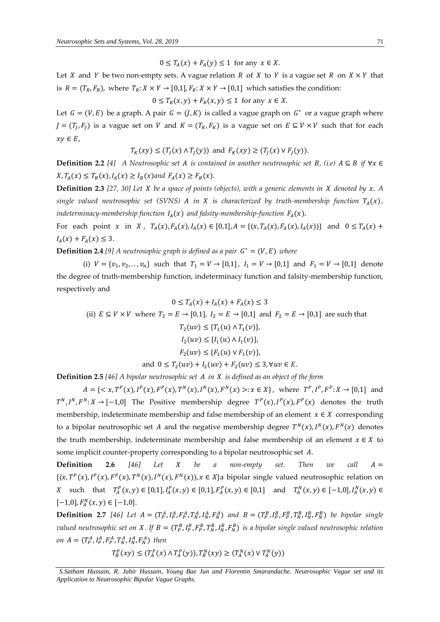$$
0 \le T_A(x) + F_A(y) \le 1 \text{ for any } x \in X.
$$

Let *X* and *Y* be two non-empty sets. A vague relation *R* of *X* to *Y* is a vague set *R* on  $X \times Y$  that is  $R = (T_R, F_R)$ , where  $T_R: X \times Y \to [0, 1], F_R: X \times Y \to [0, 1]$  which satisfies the condition:

 $0 \leq T_R(x, y) + F_R(x, y) \leq 1$  for any  $x \in X$ .

Let  $G = (V, E)$  be a graph. A pair  $G = (J, K)$  is called a vague graph on  $G^*$  or a vague graph where  $J = (T_J, F_J)$  is a vague set on V and  $K = (T_K, F_K)$  is a vague set on  $E \subseteq V \times V$  such that for each  $xy \in E$ ,

$$
T_K(xy) \le (T_J(x) \wedge T_J(y)) \text{ and } F_K(xy) \ge (T_J(x) \vee F_J(y)).
$$

**Definition 2.2** [4] A Neutrosophic set A is contained in another neutrosophic set B, (i.e)  $A \subseteq B$  if  $\forall x \in$  $X, T_A(x) \leq T_B(x), I_A(x) \geq I_B(x)$  and  $F_A(x) \geq F_B(x)$ .

**Definition 2.3** [27, 30] Let *X* be a space of points (objects), with a generic elements in *X* denoted by *x*. A *single valued neutrosophic set (SVNS) A in X is characterized by truth-membership function*  $T_A(x)$ , *indeterminacy-membership function*  $I_A(x)$  *and falsity-membership-function*  $F_A(x)$ .

For each point x in X,  $T_A(x)$ ,  $F_A(x)$ ,  $I_A(x) \in [0,1]$ ,  $A = \{(x, T_A(x), F_A(x), I_A(x))\}$  and  $0 \le T_A(x) +$  $I_A(x) + F_A(x) \leq 3.$ 

**Definition 2.4** [9] A neutrosophic graph is defined as a pair  $G^* = (V, E)$  where

(i)  $V = \{v_1, v_2, \dots, v_n\}$  such that  $T_1 = V \rightarrow [0,1]$ ,  $I_1 = V \rightarrow [0,1]$  and  $F_1 = V \rightarrow [0,1]$  denote the degree of truth-membership function, indeterminacy function and falsity-membership function, respectively and

$$
0 \le T_A(x) + I_A(x) + F_A(x) \le 3
$$
  
(ii)  $E \subseteq V \times V$  where  $T_2 = E \rightarrow [0,1], I_2 = E \rightarrow [0,1]$  and  $F_2 = E \rightarrow [0,1]$  are such that  
 $T_2(uv) \le \{T_1(u) \land T_1(v)\},$   
 $I_2(uv) \le \{I_1(u) \land I_1(v)\},$   
 $F_2(uv) \le \{F_1(u) \lor F_1(v)\},$   
and  $0 \le T_2(uv) + I_2(uv) + F_2(uv) \le 3, \forall uv \in E.$ 

**Definition 2.5** *[46] A bipolar neutrosophic set in is defined as an object of the form*

 $A = \{ \langle x, T^P(x), I^P(x), F^P(x), T^N(x), I^N(x), F^N(x) \rangle : x \in X \},$  where  $T^P, I^P, F^P: X \to [0,1]$  and  $T^N, I^N, F^N: X \to [-1,0]$  The Positive membership degree  $T^P(x), I^P(x), F^P(x)$  denotes the truth membership, indeterminate membership and false membership of an element  $x \in X$  corresponding to a bipolar neutrosophic set A and the negative membership degree  $T^N(x)$ ,  $I^N(x)$ ,  $F^N(x)$  denotes the truth membership, indeterminate membership and false membership of an element  $x \in X$  to some implicit counter-property corresponding to a bipolar neutrosophic set A.

**Definition 2.6** *[46] Let be a non-empty set. Then we call*  =  $\{(x, T^P(x), I^P(x), F^P(x), T^N(x), I^N(x), F^N(x)\}, x \in X\}$ a bipolar single valued neutrosophic relation on X such that  $T_A^P(x,y) \in [0,1], I_A^P(x,y) \in [0,1], F_A^P(x,y) \in [0,1]$  and  $T_A^N(x,y) \in [-1,0], I_A^N(x,y) \in$  $[-1,0], F_A^N(x,y) \in [-1,0].$ 

**Definition 2.7** [46] Let  $A = (T_P^A, I_P^A, F_P^A, T_N^A, I_N^A, F_N^A)$  and  $B = (T_P^B, I_P^B, T_N^B, I_N^B, F_N^B)$  be bipolar single valued neutrosophic set on X. If  $B = (T_P^B, I_P^B, F_P^B, T_N^B, I_N^B, F_N^B)$  is a bipolar single valued neutrosophic relation *on*  $A = (T_P^A, I_P^A, F_P^A, T_N^A, I_N^A, F_N^A)$  then

$$
T_{B}^{P}(xy) \leq (T_{A}^{P}(x) \wedge T_{A}^{P}(y)), T_{B}^{N}(xy) \geq (T_{A}^{N}(x) \vee T_{A}^{N}(y))
$$

*S.Satham Hussain, R. Jahir Hussain, Young Bae Jun and Florentin Smarandache. Neutrosophic Vague set and its Application to Neutrosophic Bipolar Vague Graphs.*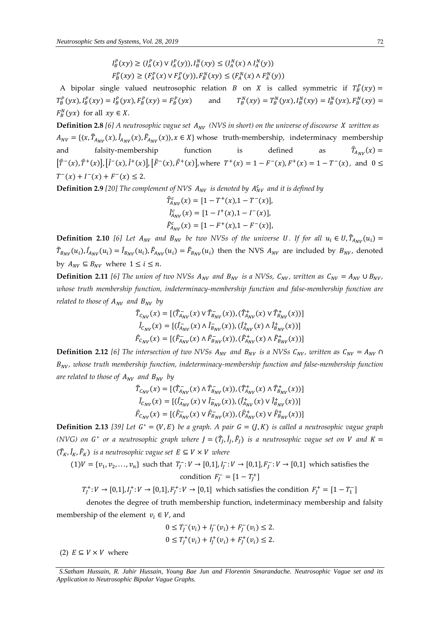$$
I_{B}^{P}(xy) \ge (I_{A}^{P}(x) \vee I_{A}^{P}(y)), I_{B}^{N}(xy) \le (I_{A}^{N}(x) \wedge I_{A}^{N}(y))
$$
  

$$
F_{B}^{P}(xy) \ge (F_{A}^{P}(x) \vee F_{A}^{P}(y)), F_{B}^{N}(xy) \le (F_{A}^{N}(x) \wedge F_{A}^{N}(y))
$$

A bipolar single valued neutrosophic relation *B* on *X* is called symmetric if  $T_B^P(xy) = T_A^P(xy)$  $T_B^P(yx)$ ,  $I_B^P(xy) = I_B^P(yx)$ ,  $F_B^P(xy) = F_B^P(yx)$  and  $T_B^P$  $I_B^N(xy) = T_B^N(yx)$ ,  $I_B^N(xy) = I_B^N(yx)$ ,  $F_B^N(xy) =$  $F_B^N(yx)$  for all  $xy \in X$ .

**Definition 2.8** [6] A neutrosophic vague set  $A_{NV}$  (NVS in short) on the universe of discourse X written as  $A_{NV} = \{ (x, \hat{T}_{A_{NV}}(x), \hat{I}_{A_{NV}}(x), \hat{F}_{A_{NV}}(x)) \}$ ,  $x \in X \}$  whose truth-membership, indeterminacy membership and falsity-membership function is defined as  $\widehat{T}_{A_{\text{MU}}}(\chi) =$  $[\hat{T}^{-}(x), \hat{T}^{+}(x)]$ ,  $[\hat{I}^{-}(x), \hat{I}^{+}(x)]$ ,  $[\hat{F}^{-}(x), \hat{F}^{+}(x)]$ , where  $T^{+}(x) = 1 - F^{-}(x)$ ,  $F^{+}(x) = 1 - T^{-}(x)$ , and  $0 \le$  $T^-(x) + I^-(x) + F^-(x) \leq 2.$ 

**Definition 2.9** [20] The complement of NVS  $A_{NV}$  is denoted by  $A_{NV}^c$  and it is defined by

$$
\begin{aligned} \hat{T}_{A_{NV}}^c(x) &= [1 - T^+(x), 1 - T^-(x)], \\ \hat{I}_{A_{NV}}^c(x) &= [1 - I^+(x), 1 - I^-(x)], \\ \hat{F}_{A_{NV}}^c(x) &= [1 - F^+(x), 1 - F^-(x)], \end{aligned}
$$

**Definition 2.10** [6] Let  $A_{NV}$  and  $B_{NV}$  be two NVSs of the universe U. If for all  $u_i \in U, \hat{T}_{A_{NV}}(u_i)$  $\hat{T}_{B_{NV}}(u_i)$ ,  $\hat{I}_{A_{NV}}(u_i) = \hat{I}_{B_{NV}}(u_i)$ ,  $\hat{F}_{A_{NV}}(u_i) = \hat{F}_{B_{NV}}(u_i)$  then the NVS  $A_{NV}$  are included by  $B_{NV}$ , denoted by  $A_{NV} \subseteq B_{NV}$  where  $1 \le i \le n$ .

**Definition 2.11** [6] The union of two NVSs  $A_{NV}$  and  $B_{NV}$  is a NVSs,  $C_{NV}$ , written as  $C_{NV} = A_{NV} \cup B_{NV}$ , *whose truth membership function, indeterminacy-membership function and false-membership function are related to those of*  $A_{NV}$  *and*  $B_{NV}$  *by* 

$$
\hat{T}_{C_{NV}}(x) = [(\hat{T}_{A_{NV}}^-(x) \vee \hat{T}_{B_{NV}}^-(x)), (\hat{T}_{A_{NV}}^+(x) \vee \hat{T}_{B_{NV}}^+(x))] \n\hat{I}_{C_{NV}}(x) = [(\hat{I}_{A_{NV}}^-(x) \wedge \hat{I}_{B_{NV}}^-(x)), (\hat{I}_{A_{NV}}^+(x) \wedge \hat{I}_{B_{NV}}^+(x))] \n\hat{F}_{C_{NV}}(x) = [(\hat{F}_{A_{NV}}^-(x) \wedge \hat{F}_{B_{NV}}^-(x)), (\hat{F}_{A_{NV}}^+(x) \wedge \hat{F}_{B_{NV}}^+(x))]
$$

**Definition 2.12** [6] The intersection of two NVSs  $A_{NV}$  and  $B_{NV}$  is a NVSs  $C_{NV}$ , written as  $C_{NV} = A_{NV} \cap$  $B_{NV}$ , whose truth membership function, indeterminacy-membership function and false-membership function are related to those of  $A_{NV}$  and  $B_{NV}$  by

$$
\begin{aligned}\n\hat{T}_{C_{NV}}(x) &= \left[ (\hat{T}_{A_{NV}}^-(x) \wedge \hat{T}_{B_{NV}}^-(x)), (\hat{T}_{A_{NV}}^+(x) \wedge \hat{T}_{B_{NV}}^+(x)) \right] \\
\hat{I}_{C_{NV}}(x) &= \left[ (\hat{I}_{A_{NV}}^-(x) \vee \hat{I}_{B_{NV}}^-(x)), (\hat{I}_{A_{NV}}^+(x) \vee \hat{I}_{B_{NV}}^+(x)) \right] \\
\hat{F}_{C_{NV}}(x) &= \left[ (\hat{F}_{A_{NV}}^-(x) \vee \hat{F}_{B_{NV}}^-(x)), (\hat{F}_{A_{NV}}^+(x) \vee \hat{F}_{B_{NV}}^+(x)) \right]\n\end{aligned}
$$

**Definition 2.13** [39] Let  $G^* = (V, E)$  be a graph. A pair  $G = (J, K)$  is called a neutrosophic vague graph *(NVG) on G*<sup>\*</sup> or a neutrosophic graph where  $J = (\hat{T}_J, \hat{I}_J, \hat{F}_J)$  is a neutrosophic vague set on V and  $K =$  $(\hat{T}_K, \hat{I}_K, \hat{F}_K)$  is a neutrosophic vague set  $E \subseteq V \times V$  where

 $(1)V = \{v_1, v_2, \dots, v_n\}$  such that  $T_J^- : V \to [0,1], I_J^- : V \to [0,1], F_J^- : V \to [0,1]$  which satisfies the condition  $F_J^- = [1 - T_J^+]$ 

$$
T_J^+\colon V\to [0,1], I_J^+\colon V\to [0,1], F_J^+\colon V\to [0,1]
$$
 which satisfies the condition  $F_J^+ = [1-T_1^-]$ 

denotes the degree of truth membership function, indeterminacy membership and falsity membership of the element  $v_i \in V$ , and

$$
0 \le T_j^-(v_i) + I_j^-(v_i) + F_j^-(v_i) \le 2.
$$
  
 
$$
0 \le T_j^+(v_i) + I_j^+(v_i) + F_j^+(v_i) \le 2.
$$

(2)  $E \subseteq V \times V$  where

*S.Satham Hussain, R. Jahir Hussain, Young Bae Jun and Florentin Smarandache. Neutrosophic Vague set and its Application to Neutrosophic Bipolar Vague Graphs.*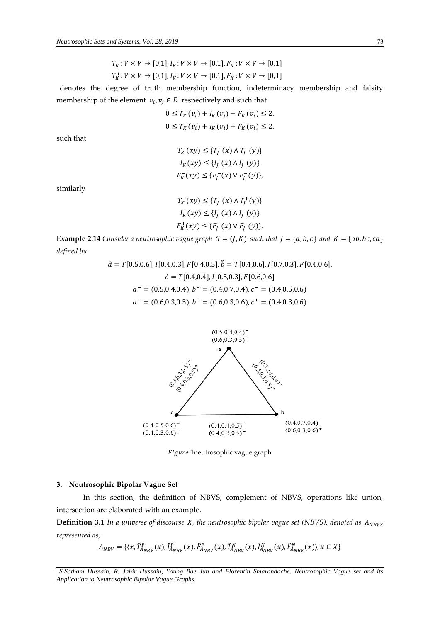$$
T_K^-: V \times V \to [0,1], I_K^-: V \times V \to [0,1], F_K^-: V \times V \to [0,1]
$$
  

$$
T_K^+: V \times V \to [0,1], I_K^+: V \times V \to [0,1], F_K^+: V \times V \to [0,1]
$$

denotes the degree of truth membership function, indeterminacy membership and falsity membership of the element  $v_i, v_j \in E$  respectively and such that

$$
0 \le T_K^-(v_i) + I_K^-(v_i) + F_K^-(v_i) \le 2.
$$
  

$$
0 \le T_K^+(v_i) + I_K^+(v_i) + F_K^+(v_i) \le 2.
$$

such that

$$
T_K^-(xy) \le \{T_J^-(x) \land T_J^-(y)\}
$$
  
\n
$$
I_K^-(xy) \le \{I_J^-(x) \land I_J^-(y)\}
$$
  
\n
$$
F_K^-(xy) \le \{F_J^-(x) \lor F_J^-(y)\},
$$

similarly

$$
T_K^+(xy) \le \{T_J^+(x) \land T_J^+(y)\}
$$
  
\n
$$
I_K^+(xy) \le \{I_J^+(x) \land I_J^+(y)\}
$$
  
\n
$$
F_K^+(xy) \le \{F_J^+(x) \lor F_J^+(y)\}.
$$

**Example 2.14** *Consider a neutrosophic vague graph*  $G = (J, K)$  *such that*  $J = \{a, b, c\}$  *and*  $K = \{ab, bc, ca\}$ *defined by*

$$
\hat{a} = T[0.5, 0.6], I[0.4, 0.3], F[0.4, 0.5], \hat{b} = T[0.4, 0.6], I[0.7, 0.3], F[0.4, 0.6],
$$

$$
\hat{c} = T[0.4, 0.4], I[0.5, 0.3], F[0.6, 0.6]
$$

$$
a^- = (0.5, 0.4, 0.4), b^- = (0.4, 0.7, 0.4), c^- = (0.4, 0.5, 0.6)
$$

$$
a^+ = (0.6, 0.3, 0.5), b^+ = (0.6, 0.3, 0.6), c^+ = (0.4, 0.3, 0.6)
$$



Figure 1neutrosophic vague graph

#### **3. Neutrosophic Bipolar Vague Set**

In this section, the definition of NBVS, complement of NBVS, operations like union, intersection are elaborated with an example.

**Definition 3.1** In a universe of discourse *X*, the neutrosophic bipolar vague set (NBVS), denoted as  $A_{NBVS}$ *represented as,*

$$
A_{NBV} = \{ (x, \hat{T}_{A_{NBV}}^P(x), \hat{I}_{A_{NBV}}^P(x), \hat{F}_{A_{NBV}}^P(x), \hat{T}_{A_{NBV}}^N(x), \hat{I}_{A_{NBV}}^N(x), \hat{F}_{A_{NBV}}^N(x), x \in X \}
$$

*S.Satham Hussain, R. Jahir Hussain, Young Bae Jun and Florentin Smarandache. Neutrosophic Vague set and its Application to Neutrosophic Bipolar Vague Graphs.*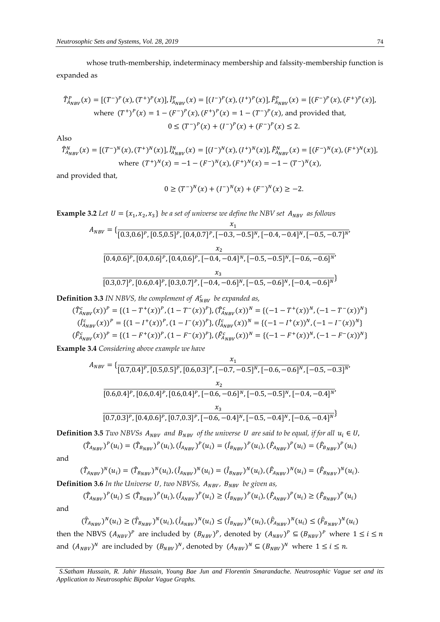whose truth-membership, indeterminacy membership and falssity-membership function is expanded as

$$
\hat{T}_{A_{NBV}}^P(x) = [(T^{-})^P(x), (T^{+})^P(x)], \hat{I}_{A_{NBV}}^P(x) = [(I^{-})^P(x), (I^{+})^P(x)], \hat{F}_{A_{NBV}}^P(x) = [(F^{-})^P(x), (F^{+})^P(x)],
$$
  
where  $(T^{+})^P(x) = 1 - (F^{-})^P(x), (F^{+})^P(x) = 1 - (T^{-})^P(x)$ , and provided that,  

$$
0 \le (T^{-})^P(x) + (I^{-})^P(x) + (F^{-})^P(x) \le 2.
$$

Also

 $\widehat{T}_{A_{NBV}}^N(x) = [(T^-)^N(x), (T^+)^N(x)], \widehat{I}_{A_{NBV}}^N(x) = [(I^-)^N(x), (I^+)^N(x)], \widehat{F}_{A_{NBV}}^N(x) = [(F^-)^N(x), (F^+)^N(x)],$ where  $(T^+)^N(x) = -1 - (F^-)^N(x), (F^+)^N(x) = -1 - (T^-)^N(x)$ ,

and provided that,

$$
0 \ge (T^{-})^N(x) + (I^{-})^N(x) + (F^{-})^N(x) \ge -2.
$$

**Example 3.2** Let  $U = \{x_1, x_2, x_3\}$  be a set of universe we define the NBV set  $A_{\text{NBV}}$  as follows

$$
A_{NBV} = \{\frac{x_1}{[0.3, 0.6]^P, [0.5, 0.5]^P, [0.4, 0.7]^P, [-0.3, -0.5]^N, [-0.4, -0.4]^N, [-0.5, -0.7]^N\}}
$$
  

$$
\frac{x_2}{[0.4, 0.6]^P, [0.4, 0.6]^P, [0.4, 0.6]^P, [-0.4, -0.4]^N, [-0.5, -0.5]^N, [-0.6, -0.6]^N\}}
$$
  

$$
\frac{x_3}{[0.3, 0.7]^P, [0.6, 0.4]^P, [0.3, 0.7]^P, [-0.4, -0.6]^N, [-0.5, -0.6]^N, [-0.4, -0.6]^N\}}
$$

**Definition 3.3** IN NBVS, the complement of  $A_{NBV}^c$  be expanded as,

$$
(\hat{T}_{A_{NBV}}^c(x))^P = \{ (1 - T^+(x))^P, (1 - T^-(x))^P \}, (\hat{T}_{A_{NBV}}^c(x))^N = \{ (-1 - T^+(x))^N, (-1 - T^-(x))^N \}
$$
  

$$
(\hat{I}_{A_{NBV}}^c(x))^P = \{ (1 - I^+(x))^P, (1 - I^-(x))^P \}, (\hat{I}_{A_{NBV}}^c(x))^N = \{ (-1 - I^+(x))^N, (-1 - I^-(x))^N \}
$$
  

$$
(\hat{F}_{A_{NBV}}^c(x))^P = \{ (1 - F^+(x))^P, (1 - F^-(x))^P \}, (\hat{F}_{A_{NBV}}^c(x))^N = \{ (-1 - F^+(x))^N, (-1 - F^-(x))^N \}
$$

**Example 3.4** *Considering above example we have* 

$$
A_{NBV} = \{\frac{x_1}{[0.7, 0.4]^P, [0.5, 0.5]^P, [0.6, 0.3]^P, [-0.7, -0.5]^N, [-0.6, -0.6]^N, [-0.5, -0.3]^N, \times \frac{x_2}{[0.6, 0.4]^P, [0.6, 0.4]^P, [0.6, 0.4]^P, [-0.6, -0.6]^N, [-0.5, -0.5]^N, [-0.4, -0.4]^N, \times \frac{x_3}{[0.7, 0.3]^P, [0.4, 0.6]^P, [0.7, 0.3]^P, [-0.6, -0.4]^N, [-0.5, -0.4]^N, [-0.6, -0.4]^N\}}
$$

**Definition 3.5** *Two NBVSs*  $A_{NBV}$  and  $B_{NBV}$  of the universe U are said to be equal, if for all  $u_i \in U$ ,

$$
(\hat{T}_{A_{NBV}})^P(u_i) = (\hat{T}_{B_{NBV}})^P(u_i), (\hat{I}_{A_{NBV}})^P(u_i) = (\hat{I}_{B_{NBV}})^P(u_i), (\hat{F}_{A_{NBV}})^P(u_i) = (\hat{F}_{B_{NBV}})^P(u_i)
$$

and

$$
(\hat{T}_{A_{NBV}})^N(u_i) = (\hat{T}_{B_{NBV}})^N(u_i), (\hat{I}_{A_{NBV}})^N(u_i) = (\hat{I}_{B_{NBV}})^N(u_i), (\hat{F}_{A_{NBV}})^N(u_i) = (\hat{F}_{B_{NBV}})^N(u_i).
$$
  
**Definition 3.6** In the Universe U, two NBVSS,  $A_{NBV}$ ,  $B_{NBV}$  be given as,

$$
(\hat{T}_{A_{NBV}})^P(u_i) \leq (\hat{T}_{B_{NBV}})^P(u_i), (\hat{I}_{A_{NBV}})^P(u_i) \geq (\hat{I}_{B_{NBV}})^P(u_i), (\hat{F}_{A_{NBV}})^P(u_i) \geq (\hat{F}_{B_{NBV}})^P(u_i)
$$

and

$$
(\hat{T}_{A_{NBV}})^N(u_i) \geq (\hat{T}_{B_{NBV}})^N(u_i), (\hat{I}_{A_{NBV}})^N(u_i) \leq (\hat{I}_{B_{NBV}})^N(u_i), (\hat{F}_{A_{NBV}})^N(u_i) \leq (\hat{F}_{B_{NBV}})^N(u_i)
$$

then the NBVS  $(A_{NBV})^P$  are included by  $(B_{NBV})^P$ , denoted by  $(A_{NBV})^P \subseteq (B_{NBV})^P$  where  $1 \le i \le n$ and  $(A_{NBV})^N$  are included by  $(B_{NBV})^N$ , denoted by  $(A_{NBV})^N \subseteq (B_{NBV})^N$  where  $1 \le i \le n$ .

*S.Satham Hussain, R. Jahir Hussain, Young Bae Jun and Florentin Smarandache. Neutrosophic Vague set and its Application to Neutrosophic Bipolar Vague Graphs.*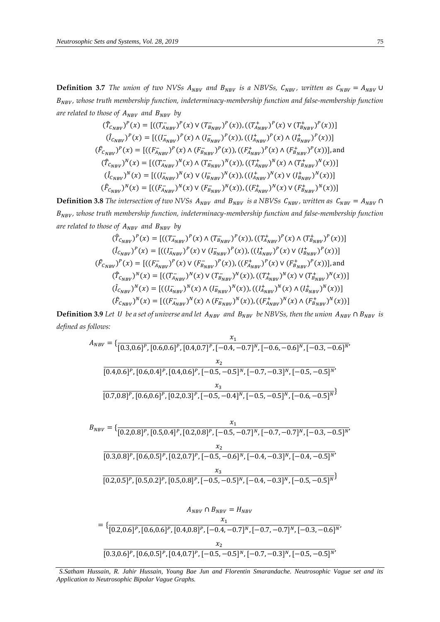**Definition 3.7** *The union of two NVSs*  $A_{NBV}$  *and*  $B_{NBV}$  *is a NBVSs,*  $C_{NBV}$ *, written as*  $C_{NBV} = A_{NBV}$   $\cup$  $B_{NBV}$ , whose truth membership function, indeterminacy-membership function and false-membership function *are related to those of*  $A_{NBV}$  *and*  $B_{NBV}$  *by* 

$$
(\hat{T}_{C_{NBV}})^P(x) = [((T_{A_{NBV}}^{\top})^P(x) \vee (T_{B_{NBV}}^{\top})^P(x)), ((T_{A_{NBV}}^{\top})^P(x) \vee (T_{B_{NBV}}^{\top})^P(x))]
$$
  
\n
$$
(\hat{I}_{C_{NBV}})^P(x) = [((I_{A_{NBV}}^{\top})^P(x) \wedge (I_{B_{NBV}}^{\top})^P(x)), ((I_{A_{NBV}}^{\top})^P(x) \wedge (I_{B_{NBV}}^{\top})^P(x))]
$$
  
\n
$$
(\hat{F}_{C_{NBV}})^P(x) = [((F_{A_{NBV}}^{\top})^P(x) \wedge (F_{B_{NBV}}^{\top})^P(x)), ((F_{A_{MBV}}^{\top})^P(x) \wedge (F_{B_{NBV}}^{\top})^P(x))],
$$
and  
\n
$$
(\hat{T}_{C_{NBV}})^N(x) = [((T_{A_{NBV}}^{\top})^N(x) \wedge (T_{B_{NBV}}^{\top})^N(x)), ((T_{A_{NBV}}^{\top})^N(x) \wedge (T_{B_{NBV}}^{\top})^N(x))]
$$
  
\n
$$
(\hat{I}_{C_{NBV}})^N(x) = [((I_{A_{NBV}}^{\top})^N(x) \vee (I_{B_{NBV}}^{\top})^N(x)), ((I_{A_{NBV}}^{\top})^N(x) \vee (I_{B_{NBV}}^{\top})^N(x))]
$$
  
\n
$$
(\hat{F}_{C_{NBV}})^N(x) = [((F_{A_{NBV}}^{\top})^N(x) \vee (F_{B_{NBV}}^{\top})^N(x)), ((F_{A_{NBV}}^{\top})^N(x) \vee (F_{B_{NBV}}^{\top})^N(x))]
$$

**Definition 3.8** *The intersection of two NVSs*  $A_{NBV}$  *and*  $B_{NBV}$  *is a NBVSs*  $C_{NBV}$ *, written as*  $C_{NBV} = A_{NBV}$   $\cap$  $B_{NBV}$ , whose truth membership function, indeterminacy-membership function and false-membership function *are related to those of*  $A_{NBV}$  *and*  $B_{NBV}$  *by* 

$$
(\hat{T}_{C_{NBV}})^P(x) = [((T_{A_{NBV}}^{\top})^P(x) \wedge (T_{B_{NBV}}^{\top})^P(x)), ((T_{A_{NBV}}^{\top})^P(x) \wedge (T_{B_{NBV}}^{\top})^P(x))]
$$
  
\n
$$
(\hat{I}_{C_{NBV}})^P(x) = [((I_{A_{NBV}}^{\top})^P(x) \vee (I_{B_{NBV}}^{\top})^P(x)), ((I_{A_{NBV}}^{\top})^P(x) \vee (I_{B_{NBV}}^{\top})^P(x))]
$$
  
\n
$$
(\hat{F}_{C_{NBV}})^P(x) = [((F_{A_{NBV}}^{\top})^P(x) \vee (F_{B_{NBV}}^{\top})^P(x)), ((F_{A_{NBV}}^{\top})^P(x) \vee (F_{B_{NBV}}^{\top})^P(x))],
$$
and  
\n
$$
(\hat{T}_{C_{NBV}})^N(x) = [((T_{A_{NBV}}^{\top})^N(x) \vee (T_{B_{NBV}}^{\top})^N(x)), ((T_{A_{NBV}}^{\top})^N(x) \vee (T_{B_{NBV}}^{\top})^N(x))]
$$
  
\n
$$
(\hat{I}_{C_{NBV}})^N(x) = [((I_{A_{NBV}}^{\top})^N(x) \wedge (I_{B_{NBV}}^{\top})^N(x)), ((I_{A_{NBV}}^{\top})^N(x) \wedge (I_{B_{NBV}}^{\top})^N(x))]
$$
  
\n
$$
(\hat{F}_{C_{NBV}})^N(x) = [((F_{A_{NBV}}^{\top})^N(x) \wedge (F_{B_{NBV}}^{\top})^N(x)), ((F_{A_{NBV}}^{\top})^N(x) \wedge (F_{B_{NBV}}^{\top})^N(x))]
$$

**Definition 3.9** Let *U* be a set of universe and let  $A_{NBV}$  and  $B_{NBV}$  be NBVSs, then the union  $A_{NBV} \cap B_{NBV}$  is *defined as follows:* 

$$
A_{NBV} = \{\frac{x_1}{[0.3, 0.6]^P, [0.6, 0.6]^P, [0.4, 0.7]^P, [-0.4, -0.7]^N, [-0.6, -0.6]^N, [-0.3, -0.6]^N, \times \frac{x_2}{[0.4, 0.6]^P, [0.6, 0.4]^P, [0.4, 0.6]^P, [-0.5, -0.5]^N, [-0.7, -0.3]^N, [-0.5, -0.5]^N, \times \frac{x_3}{[0.7, 0.8]^P, [0.6, 0.6]^P, [0.2, 0.3]^P, [-0.5, -0.4]^N, [-0.5, -0.5]^N, [-0.6, -0.5]^N\}}
$$

$$
B_{NBV} = \{ \frac{x_1}{[0.2, 0.8]^P, [0.5, 0.4]^P, [0.2, 0.8]^P, [-0.5, -0.7]^N, [-0.7, -0.7]^N, [-0.3, -0.5]^N, \\ \frac{x_2}{[0.3, 0.8]^P, [0.6, 0.5]^P, [0.2, 0.7]^P, [-0.5, -0.6]^N, [-0.4, -0.3]^N, [-0.4, -0.5]^N, \\ \frac{x_3}{[0.2, 0.5]^P, [0.5, 0.2]^P, [0.5, 0.8]^P, [-0.5, -0.5]^N, [-0.4, -0.3]^N, [-0.5, -0.5]^N \}}
$$

$$
A_{NBV} \cap B_{NBV} = H_{NBV}
$$
  
= { $\frac{x_1}{[0.2, 0.6]^P, [0.6, 0.6]^P, [0.4, 0.8]^P, [-0.4, -0.7]^N, [-0.7, -0.7]^N, [-0.3, -0.6]^N}$ ,  
 $\frac{x_2}{[0.3, 0.6]^P, [0.6, 0.5]^P, [0.4, 0.7]^P, [-0.5, -0.5]^N, [-0.7, -0.3]^N, [-0.5, -0.5]^N}$ ,

*S.Satham Hussain, R. Jahir Hussain, Young Bae Jun and Florentin Smarandache. Neutrosophic Vague set and its Application to Neutrosophic Bipolar Vague Graphs.*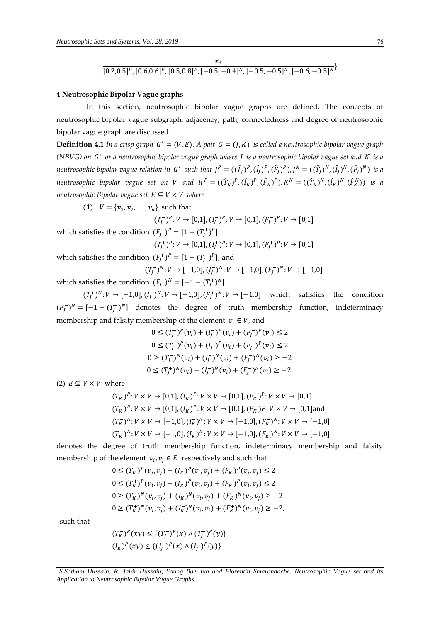$$
\frac{x_3}{[0.2, 0.5]^P, [0.6, 0.6]^P, [0.5, 0.8]^P, [-0.5, -0.4]^N, [-0.5, -0.5]^N, [-0.6, -0.5]^N}
$$

#### **4 Neutrosophic Bipolar Vague graphs**

In this section, neutrosophic bipolar vague graphs are defined. The concepts of neutrosophic bipolar vague subgraph, adjacency, path, connectedness and degree of neutrosophic bipolar vague graph are discussed.

**Definition 4.1** In a crisp graph  $G^* = (V, E)$ . A pair  $G = (J, K)$  is called a neutrosophic bipolar vague graph *(NBVG) on*  ∗ *or a neutrosophic bipolar vague graph where is a neutrosophic bipolar vague set and is a neutrosophic bipolar vague relation in*  $G^*$  such that  $J^P = ((\hat{T}_J)^P, (\hat{I}_J)^P, (\hat{F}_J)^P), J^N = ((\hat{T}_J)^N, (\hat{I}_J)^N, (\hat{F}_J)^N)$  is a *neutrosophic bipolar vague set on V and*  $K^P = ((\hat{T}_K)^P, (\hat{I}_K)^P, (\hat{F}_K)^P), K^N = ((\hat{T}_K)^N, (\hat{I}_K)^N, (\hat{F}_K^N))$  *is a neutrosophic Bipolar vague set*  $E \subseteq V \times V$  *where* 

(1)  $V = \{v_1, v_2, \dots, v_n\}$  such that

 $(T^-_J)^P : V \to [0,1], (I^-_J)^P : V \to [0,1], (F^-_J)^P : V \to [0,1]$ 

which satisfies the condition 
$$
(F_f^-)^P = [1 - (T_f^+)^P]
$$

$$
(T_f^+)^P: V \to [0,1], (I_f^+)^P: V \to [0,1], (F_f^+)^P: V \to [0,1]
$$

which satisfies the condition  $(F_J^+)^P = [1 - (T_J^-)^P]$ , and  $(T_J^-)^N: V \to [-1,0], (I_J^-)^N: V \to [-1,0], (F_J^-)^N: V \to [-1,0]$ 

which satisfies the condition  $(F_J^-)^N = [-1 - (T_J^+)^N]$ 

 $(T_f^+)^N: V \to [-1,0], (I_f^+)^N: V \to [-1,0], (F_f^+)^N: V \to [-1,0]$  which satisfies the condition  $(F_j^+)^N = [-1 - (T_j^-)^N]$  denotes the degree of truth membership function, indeterminacy membership and falsity membership of the element  $v_i \in V$ , and

$$
0 \le (T_j^-)^p (v_i) + (I_j^-)^p (v_i) + (F_j^-)^p (v_i) \le 2
$$
  
\n
$$
0 \le (T_j^+)^p (v_i) + (I_j^+)^p (v_i) + (F_j^+)^p (v_i) \le 2
$$
  
\n
$$
0 \ge (T_j^-)^N (v_i) + (I_j^-)^N (v_i) + (F_j^-)^N (v_i) \ge -2
$$
  
\n
$$
0 \le (T_j^+)^N (v_i) + (I_j^+)^N (v_i) + (F_j^+)^N (v_i) \ge -2.
$$

(2)  $E \subseteq V \times V$  where

$$
(T_K^-)^P: V \times V \to [0,1], (I_K^-)^P: V \times V \to [0,1], (F_K^-)^P: V \times V \to [0,1]
$$
  
\n
$$
(T_K^+)^P: V \times V \to [0,1], (I_K^+)^P: V \times V \to [0,1], (F_K^+)^P: V \times V \to [0,1]
$$
and  
\n
$$
(T_K^-)^N: V \times V \to [-1,0], (I_K^-)^N: V \times V \to [-1,0], (F_K^-)^N: V \times V \to [-1,0]
$$
  
\n
$$
(T_K^+)^N: V \times V \to [-1,0], (I_K^+)^N: V \times V \to [-1,0], (F_K^+)^N: V \times V \to [-1,0]
$$

denotes the degree of truth membership function, indeterminacy membership and falsity membership of the element  $v_i, v_j \in E$  respectively and such that

$$
0 \le (T_K^-)^p (v_i, v_j) + (I_K^-)^p (v_i, v_j) + (F_K^-)^p (v_i, v_j) \le 2
$$
  
\n
$$
0 \le (T_K^+)^p (v_i, v_j) + (I_K^+)^p (v_i, v_j) + (F_K^+)^p (v_i, v_j) \le 2
$$
  
\n
$$
0 \ge (T_K^-)^N (v_i, v_j) + (I_K^-)^N (v_i, v_j) + (F_K^-)^N (v_i, v_j) \ge -2
$$
  
\n
$$
0 \ge (T_K^+)^N (v_i, v_j) + (I_K^+)^N (v_i, v_j) + (F_K^+)^N (v_i, v_j) \ge -2,
$$

such that

$$
(T_K^-)^p(xy) \le \{(T_J^-)^p(x) \land (T_J^-)^p(y)\}
$$
  

$$
(I_K^-)^p(xy) \le \{(I_J^-)^p(x) \land (I_J^-)^p(y)\}
$$

*S.Satham Hussain, R. Jahir Hussain, Young Bae Jun and Florentin Smarandache. Neutrosophic Vague set and its Application to Neutrosophic Bipolar Vague Graphs.*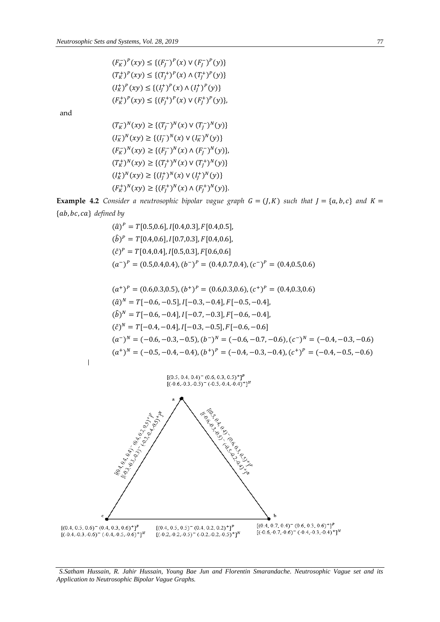$(F_K^-)^p(xy) \leq \{ (F_J^-)^p(x) \vee (F_J^-)^p(y) \}$  $(T_K^+)^p(xy) \leq \{(T_J^+)^p(x) \wedge (T_J^+)^p(y)\}$  $(I_K^+)^P(xy) \leq \{(I_J^+)^P(x) \wedge (I_J^+)^P(y)\}$  $(F_K^+)^p(xy) \leq \{(F_J^+)^p(x) \vee (F_J^+)^p(y)\},$ 

and

 $\overline{1}$ 

$$
(T_K^-)^N(xy) \ge \{(T_f^-)^N(x) \vee (T_f^-)^N(y)\}
$$
  
\n
$$
(I_K^-)^N(xy) \ge \{(I_f^-)^N(x) \vee (I_K^-)^N(y)\}
$$
  
\n
$$
(F_K^-)^N(xy) \ge \{(F_f^-)^N(x) \wedge (F_f^-)^N(y)\}
$$
  
\n
$$
(T_K^+)^N(xy) \ge \{(T_f^+)^N(x) \vee (T_f^+)^N(y)\}
$$
  
\n
$$
(I_K^+)^N(xy) \ge \{(I_f^+)^N(x) \vee (I_f^+)^N(y)\}
$$
  
\n
$$
(F_K^+)^N(xy) \ge \{(F_f^+)^N(x) \wedge (F_f^+)^N(y)\}.
$$

**Example 4.2** *Consider a neutrosophic bipolar vague graph*  $G = (J, K)$  *such that*  $J = \{a, b, c\}$  *and*  $K =$  ${ab, bc, ca}$  *defined by* 

$$
(\hat{a})^P = T[0.5, 0.6], I[0.4, 0.3], F[0.4, 0.5],
$$
  
\n
$$
(\hat{b})^P = T[0.4, 0.6], I[0.7, 0.3], F[0.4, 0.6],
$$
  
\n
$$
(\hat{c})^P = T[0.4, 0.4], I[0.5, 0.3], F[0.6, 0.6]
$$
  
\n
$$
(a^-)^P = (0.5, 0.4, 0.4), (b^-)^P = (0.4, 0.7, 0.4), (c^-)^P = (0.4, 0.5, 0.6)
$$
  
\n
$$
(a^+)^P = (0.6, 0.3, 0.5), (b^+)^P = (0.6, 0.3, 0.6), (c^+)^P = (0.4, 0.3, 0.6)
$$
  
\n
$$
(\hat{a})^N = T[-0.6, -0.5], I[-0.3, -0.4], F[-0.5, -0.4],
$$
  
\n
$$
(\hat{b})^N = T[-0.6, -0.4], I[-0.7, -0.3], F[-0.6, -0.4],
$$
  
\n
$$
(\hat{c})^N = T[-0.4, -0.4], I[-0.3, -0.5], F[-0.6, -0.6]
$$
  
\n
$$
(a^-)^N = (-0.6, -0.3, -0.5), (b^-)^N = (-0.6, -0.7, -0.6), (c^-)^N = (-0.4, -0.3, -0.6)
$$
  
\n
$$
(a^+)^N = (-0.5, -0.4, -0.4), (b^+)^P = (-0.4, -0.3, -0.4), (c^+)^P = (-0.4, -0.5, -0.6)
$$

 $[(0.5, 0.4, 0.4)^{-}(0.6, 0.3, 0.5)^{+}]^{P}$ <br>[(-0.6, -0.3, -0.5)<sup>-</sup> (-0.5, -0.4, -0.4)<sup>+</sup>]<sup>N</sup>



*S.Satham Hussain, R. Jahir Hussain, Young Bae Jun and Florentin Smarandache. Neutrosophic Vague set and its Application to Neutrosophic Bipolar Vague Graphs.*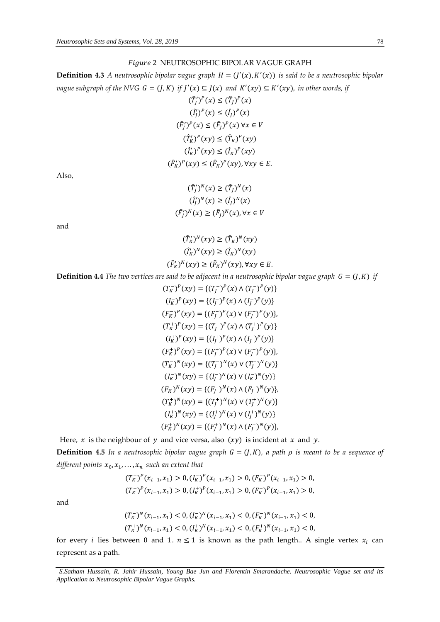### 2 NEUTROSOPHIC BIPOLAR VAGUE GRAPH

**Definition 4.3** *A neutrosophic bipolar vague graph*  $H = (J'(x), K'(x))$  *is said to be a neutrosophic bipolar vague subgraph of the NVG G* =  $(J, K)$  *if*  $J'(x) \subseteq J(x)$  *and*  $K'(xy) \subseteq K'(xy)$ *, in other words, if* 

$$
(\hat{T}_j')^P(x) \le (\hat{T}_j)^P(x)
$$
  
\n
$$
(\hat{I}_j')^P(x) \le (\hat{I}_j)^P(x)
$$
  
\n
$$
(\hat{F}_j')^P(x) \le (\hat{F}_j)^P(x) \forall x \in V
$$
  
\n
$$
(\hat{T}_K')^P(xy) \le (\hat{T}_K)^P(xy)
$$
  
\n
$$
(\hat{I}_K')^P(xy) \le (\hat{F}_K)^P(xy), \forall xy \in E.
$$

Also,

$$
(\hat{T}_j')^N(x) \ge (\hat{T}_j)^N(x)
$$
  

$$
(\hat{I}_j')^N(x) \ge (\hat{I}_j)^N(x)
$$
  

$$
(\hat{F}_j')^N(x) \ge (\hat{F}_j)^N(x), \forall x \in V
$$

and

$$
(\hat{T}_K')^N(xy) \ge (\hat{T}_K)^N(xy)
$$
  

$$
(\hat{I}_K')^N(xy) \ge (\hat{I}_K)^N(xy)
$$
  

$$
(\hat{F}_K')^N(xy) \ge (\hat{F}_K)^N(xy), \forall xy \in E.
$$

**Definition 4.4** *The two vertices are said to be adjacent in a neutrosophic bipolar vague graph*  $G = (J, K)$  *if* 

$$
(T_K^-)^p(xy) = \{(T_J^-)^p(x) \land (T_J^-)^p(y)\}
$$
  
\n
$$
(I_K^-)^p(xy) = \{(I_J^-)^p(x) \land (I_J^-)^p(y)\}
$$
  
\n
$$
(F_K^-)^p(xy) = \{(F_J^-)^p(x) \lor (F_J^-)^p(y)\}
$$
  
\n
$$
(T_K^+)^p(xy) = \{(T_J^+)^p(x) \land (T_J^+)^p(y)\}
$$
  
\n
$$
(I_K^+)^p(xy) = \{(I_J^+)^p(x) \land (I_J^+)^p(y)\}
$$
  
\n
$$
(F_K^+)^p(xy) = \{(F_J^+)^p(x) \lor (F_J^+)^p(y)\}
$$
  
\n
$$
(T_K^-)^N(xy) = \{(T_J^-)^N(x) \lor (T_J^-)^N(y)\}
$$
  
\n
$$
(F_K^-)^N(xy) = \{(I_J^-)^N(x) \land (F_J^-)^N(y)\}
$$
  
\n
$$
(F_K^+)^N(xy) = \{(T_J^+)^N(x) \land (T_J^+)^N(y)\}
$$
  
\n
$$
(I_K^+)^N(xy) = \{(I_J^+)^N(x) \lor (I_J^+)^N(y)\}
$$
  
\n
$$
(F_K^+)^N(xy) = \{(F_J^+)^N(x) \land (F_J^+)^N(y)\}
$$

Here,  $x$  is the neighbour of  $y$  and vice versa, also  $(xy)$  is incident at  $x$  and  $y$ .

**Definition 4.5** *In a neutrosophic bipolar vague graph*  $G = (J, K)$ *, a path*  $\rho$  *is meant to be a sequence of* different points  $x_0, x_1, \ldots, x_n$  such an extent that

$$
(T_K^-)^p(x_{i-1}, x_1) > 0, (I_K^-)^p(x_{i-1}, x_1) > 0, (F_K^-)^p(x_{i-1}, x_1) > 0,
$$
  

$$
(T_K^+)^p(x_{i-1}, x_1) > 0, (I_K^+)^p(x_{i-1}, x_1) > 0, (F_K^+)^p(x_{i-1}, x_1) > 0,
$$

and

$$
(T_K^-)^N(x_{i-1}, x_1) < 0, (I_K^-)^N(x_{i-1}, x_1) < 0, (F_K^-)^N(x_{i-1}, x_1) < 0, (T_K^+)^N(x_{i-1}, x_1) < 0, (I_K^+)^N(x_{i-1}, x_1) < 0, (F_K^+)^N(x_{i-1}, x_1) < 0,
$$

for every *i* lies between 0 and 1.  $n \le 1$  is known as the path length.. A single vertex  $x_i$  can represent as a path.

*S.Satham Hussain, R. Jahir Hussain, Young Bae Jun and Florentin Smarandache. Neutrosophic Vague set and its Application to Neutrosophic Bipolar Vague Graphs.*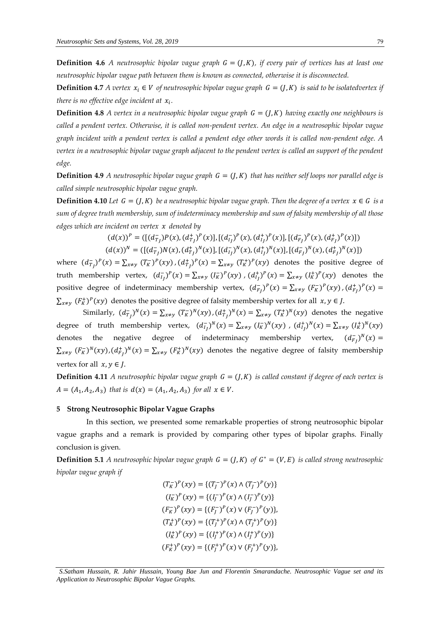**Definition 4.6** *A neutrosophic bipolar vague graph*  $G = (J,K)$ *, if every pair of vertices has at least one neutrosophic bipolar vague path between them is known as connected, otherwise it is disconnected.* 

**Definition 4.7** *A vertex*  $x_i \in V$  *of neutrosophic bipolar vague graph*  $G = (J, K)$  *is said to be isolatedvertex if there is no effective edge incident at .* 

**Definition 4.8** *A vertex in a neutrosophic bipolar vague graph*  $G = (J,K)$  *having exactly one neighbours is called a pendent vertex. Otherwise, it is called non-pendent vertex. An edge in a neutrosophic bipolar vague graph incident with a pendent vertex is called a pendent edge other words it is called non-pendent edge. A vertex in a neutrosophic bipolar vague graph adjacent to the pendent vertex is called an support of the pendent edge.* 

**Definition 4.9** *A neutrosophic bipolar vague graph*  $G = (J, K)$  *that has neither self loops nor parallel edge is called simple neutrosophic bipolar vague graph.* 

**Definition 4.10** *Let*  $G = (J, K)$  *be a neutrosophic bipolar vague graph. Then the degree of a vertex*  $x \in G$  *is a sum of degree truth membership, sum of indeterminacy membership and sum of falsity membership of all those edges which are incident on vertex denoted by* 

$$
(d(x))^{P} = ([(d_{Tj}^{-})P(x), (d_{Tj}^{+})^{P}(x)], [(d_{Ij}^{-})^{P}(x), (d_{Ij}^{+})^{P}(x)], [(d_{Fj}^{-})^{P}(x), (d_{Fj}^{+})^{P}(x)])
$$
  

$$
(d(x))^{N} = ([(d_{Tj}^{-})N(x), (d_{Tj}^{+})^{N}(x)], [(d_{Ij}^{-})^{N}(x), (d_{Ij}^{+})^{N}(x)], [(d_{Fj}^{-})^{N}(x), (d_{Fj}^{+})^{N}(x)])
$$

where  $(d_{T_J}^{-})^P(x) = \sum_{x \neq y} (T_K^{-})^P(xy)$ ,  $(d_{T_J}^{+})^P(x) = \sum_{x \neq y} (T_K^{+})^P(xy)$  denotes the positive degree of truth membership vertex,  $(d_{IJ}^-)^P(x) = \sum_{x \neq y} (I_K^-)^P(xy)$ ,  $(d_{IJ}^+)^P(x) = \sum_{x \neq y} (I_K^+)^P(xy)$  denotes the positive degree of indeterminacy membership vertex,  $(d_{F_f}^-)^P(x) = \sum_{x \neq y} (F_K^-)^P(xy)$ ,  $(d_{F_f}^+)^P(x) =$  $\sum_{x \neq y} (F_K^+)^p(xy)$  denotes the positive degree of falsity membership vertex for all  $x, y \in J$ .

Similarly,  $(d_{T_J}^-)^N(x) = \sum_{x \neq y} (T_K^-)^N(xy)$ ,  $(d_{T_J}^+)^N(x) = \sum_{x \neq y} (T_K^+)^N(xy)$  denotes the negative degree of truth membership vertex,  $(d_{I_J}^-)^N(x) = \sum_{x \neq y} (I_K^-)^N(xy)$ ,  $(d_{I_J}^+)^N(x) = \sum_{x \neq y} (I_K^+)^N(xy)$ denotes the negative degree of indeterminacy membership vertex,  $(d_{F_f}^{\dagger})^N(x) =$  $\sum_{x\neq y} (F_K^-)^N(xy)$ , $(d_{F_f}^+)^N(x) = \sum_{x\neq y} (F_K^+)^N(xy)$  denotes the negative degree of falsity membership vertex for all  $x, y \in J$ .

**Definition 4.11** *A neutrosophic bipolar vague graph*  $G = (J, K)$  *is called constant if degree of each vertex is*  $A = (A_1, A_2, A_3)$  that is  $d(x) = (A_1, A_2, A_3)$  for all  $x \in V$ .

### **5 Strong Neutrosophic Bipolar Vague Graphs**

In this section, we presented some remarkable properties of strong neutrosophic bipolar vague graphs and a remark is provided by comparing other types of bipolar graphs. Finally conclusion is given.

**Definition 5.1** *A neutrosophic bipolar vague graph*  $G = (J, K)$  *of*  $G^* = (V, E)$  *is called strong neutrosophic bipolar vague graph if* 

> $(T_K^-)^p(xy) = \{(T_J^-)^p(x) \wedge (T_J^-)^p(y)\}$  $(I_K^-)^P(xy) = \{ (I_J^-)^P(x) \wedge (I_J^-)^P(y) \}$  $(F_K^-)^P(xy) = \{ (F_J^-)^P(x) \vee (F_J^-)^P(y) \},$  $(T_K^+)^p(xy) = \{(T_J^+)^p(x) \wedge (T_J^+)^p(y)\}$  $(I_K^+)^P(xy) = \{(I_J^+)^P(x) \wedge (I_J^+)^P(y)\}$  $(F_K^+)^P(xy) = \{ (F_J^+)^P(x) \vee (F_J^+)^P(y) \},$

*S.Satham Hussain, R. Jahir Hussain, Young Bae Jun and Florentin Smarandache. Neutrosophic Vague set and its Application to Neutrosophic Bipolar Vague Graphs.*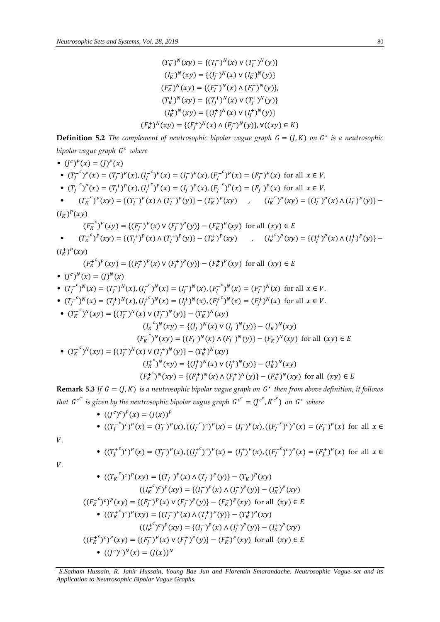$$
(T_K^-)^N(xy) = \{(T_f^-)^N(x) \vee (T_f^-)^N(y)\}
$$
  
\n
$$
(I_K^-)^N(xy) = \{(I_f^-)^N(x) \vee (I_K^-)^N(y)\}
$$
  
\n
$$
(F_K^-)^N(xy) = \{(F_f^-)^N(x) \wedge (F_f^-)^N(y)\}
$$
  
\n
$$
(T_K^+)^N(xy) = \{(T_f^+)^N(x) \vee (T_f^+)^N(y)\}
$$
  
\n
$$
(F_K^+)^N(xy) = \{(I_f^+)^N(x) \wedge (F_f^+)^N(y)\} \vee ((xy) \in K)
$$

**Definition 5.2** *The complement of neutrosophic bipolar vague graph*  $G = (J, K)$  *on*  $G^*$  *is a neutrosophic bipolar vague graph where* 

• 
$$
(f^c)^p(x) = (f^p)^p(x) = (f^-)^p(x), (f^-^c)^p(x) = (f^-)^p(x), (f^-^c)^p(x) = (F^-)^p(x)
$$
 for all  $x \in V$ .  
\n•  $(T^+_f)^p(x) = (T^+_f)^p(x), (I^+_f)^p(x) = (I^+_f)^p(x), (F^+_f)^p(x) = (F^+_f)^p(x)$  for all  $x \in V$ .  
\n•  $(T^+_K)^p(xy) = \{(T^-_f)^p(x) \land (T^-_f)^p(y)\} - (T^-_K)^p(xy)$ ,  $(I^-_K)^p(xy) = \{(I^-_f)^p(x) \land (I^-_f)^p(y)\} - (I^-_K)^p(xy)$  for all  $(xy) \in E$   
\n•  $(T^+_K)^p(xy) = \{(T^+_f)^p(x) \lor (F^-_f)^p(y)\} - (F^+_K)^p(xy)$ ,  $(I^+_K)^p(xy) = \{(I^+_f)^p(x) \land (I^+_f)^p(y)\} - (I^+_K)^p(xy)$  for all  $(xy) \in E$   
\n•  $(T^+_K)^p(xy) = \{(T^+_f)^p(x) \land (T^+_f)^p(y)\} - (T^+_K)^p(xy)$ ,  $(I^+_K)^p(xy) = \{(I^+_f)^p(x) \land (I^+_f)^p(y)\} - (I^+_K)^p(xy)$  for all  $x \in V$ .  
\n•  $(T^{-}_f)^N(x) = (T^-_f)^N(x), (I^{-}_f)^N(x) = (I^-_f)^N(x), (F^{-}_f)^N(x) = (F^-_f)^N(x)$  for all  $x \in V$ .  
\n•  $(T^{-}_f)^N(x) = (T^+_f)^N(x), (I^{+-}_f)^N(x) = (I^-_f)^N(x), (I^{+-}_f)^N(x) = (I^-_f)^N(x)$  for all  $x \in V$ .  
\n•  $(T^{-}_K)^N(x) = (T^+_f)^N(x), (I^{+-}_f)^N(x) = (I^-_f)^N(x), (I^{+-}_f)^N(x) = (I^-_f)^N(x)$  for all  $x \in V$ .  
\n•  $(T^{-}_K)^N(xy) = \{(T^{-}_f)^N(x) \lor (T^{-}_f)^N(y)\} - (T^-_K)^N(xy)$  for

 $\it{V}.$ 

 $V_{\cdot}$ 

• 
$$
((T_j^{+c})^c)^p(x) = (T_j^+)^p(x), ((I_j^{+c})^c)^p(x) = (I_j^+)^p(x), ((F_j^{+c})^c)^p(x) = (F_j^+)^p(x)
$$
 for all  $x \in$ 

• 
$$
((T_K^{-c})^c)^p(xy) = \{(T_J^{-})^p(x) \land (T_J^{-})^p(y)\} - (T_K^{-})^p(xy)
$$
  
\n $((I_K^{-c})^c)^p(xy) = \{(I_J^{-})^p(x) \land (I_J^{-})^p(y)\} - (I_K^{-})^p(xy)$   
\n $((F_K^{-c})^c)^p(xy) = \{(F_J^{-})^p(x) \lor (F_J^{-})^p(y)\} - (F_K^{-})^p(xy)$  for all  $(xy) \in E$   
\n•  $((T_K^{+c})^c)^p(xy) = \{(T_J^{+})^p(x) \land (T_J^{+})^p(y)\} - (T_K^{+})^p(xy)$   
\n $((I_K^{+c})^c)^p(xy) = \{(I_J^{+})^p(x) \land (I_J^{+})^p(y)\} - (I_K^{+})^p(xy)$   
\n $((F_K^{+c})^c)^p(xy) = \{(F_J^{+})^p(y) \lor (F_J^{+})^p(y)\} - (F_K^{+})^p(xy)$  for all  $(xy) \in E$   
\n•  $((J^c)^c)^N(x) = (J(x))^N$ 

*S.Satham Hussain, R. Jahir Hussain, Young Bae Jun and Florentin Smarandache. Neutrosophic Vague set and its Application to Neutrosophic Bipolar Vague Graphs.*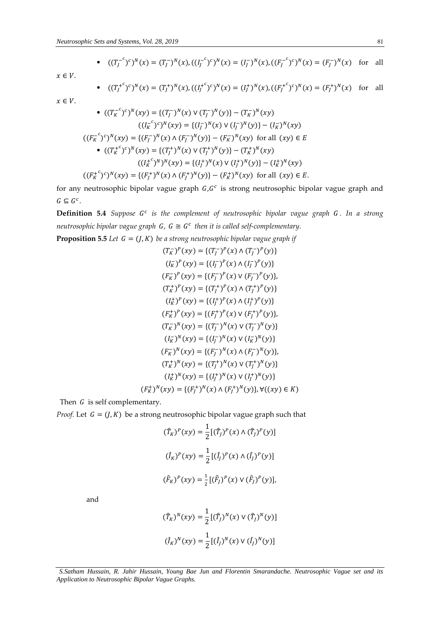• 
$$
((T_f^{-c})^c)^N(x) = (T_f^{-})^N(x), ((I_f^{-c})^c)^N(x) = (I_f^{-})^N(x), ((F_f^{-c})^c)^N(x) = (F_f^{-})^N(x)
$$
 for all

 $x \in V$ .

• 
$$
((T_j^{+c})^c)^N(x) = (T_j^+)^N(x), ((I_j^{+c})^c)^N(x) = (I_j^+)^N(x), ((F_j^{+c})^c)^N(x) = (F_j^+)^N(x)
$$
 for all

 $x \in V$ .

• 
$$
((T_K^{-c})^c)^N(xy) = \{(T_f^{-})^N(x) \vee (T_f^{-})^N(y)\} - (T_K^{-})^N(xy)
$$
  
\n $((I_K^{-c})^c)^N(xy) = \{(I_f^{-})^N(x) \vee (I_f^{-})^N(y)\} - (I_K^{-})^N(xy)$   
\n $((F_K^{-c})^c)^N(xy) = \{(F_f^{-})^N(x) \wedge (F_f^{-})^N(y)\} - (F_K^{-})^N(xy)$  for all  $(xy) \in E$   
\n•  $((T_K^{+c})^c)^N(xy) = \{(T_f^{+})^N(x) \vee (T_f^{+})^N(y)\} - (T_K^{+})^N(xy)$   
\n $((I_K^{+c})^N)^N(xy) = \{(I_f^{+})^N(x) \vee (I_f^{+})^N(y)\} - (I_K^{+})^N(xy)$  for all  $(xy) \in E$ .

for any neutrosophic bipolar vague graph  $G, G^c$  is strong neutrosophic bipolar vague graph and  $G \subseteq G^c$ .

**Definition 5.4** Suppose G<sup>c</sup> is the complement of neutrosophic bipolar vague graph G. In a strong neutrosophic bipolar vague graph  $G$ ,  $G \cong G^c$  then it is called self-complementary.

**Proposition 5.5** *Let*  $G = (J, K)$  *be a strong neutrosophic bipolar vague graph if* 

$$
(T_K^-)^p(xy) = \{(T_f^-)^p(x) \land (T_f^-)^p(y)\}
$$
  
\n
$$
(I_K^-)^p(xy) = \{(I_f^-)^p(x) \land (I_f^-)^p(y)\}
$$
  
\n
$$
(F_K^-)^p(xy) = \{(F_f^-)^p(x) \lor (F_f^-)^p(y)\}
$$
  
\n
$$
(T_K^+)^p(xy) = \{(T_f^+)^p(x) \land (T_f^+)^p(y)\}
$$
  
\n
$$
(I_K^+)^p(xy) = \{(I_f^+)^p(x) \land (I_f^+)^p(y)\}
$$
  
\n
$$
(F_K^+)^p(xy) = \{(F_f^+)^p(x) \lor (F_f^+)^p(y)\}
$$
  
\n
$$
(T_K^-)^N(xy) = \{(T_f^-)^N(x) \lor (T_f^-)^N(y)\}
$$
  
\n
$$
(I_K^-)^N(xy) = \{(I_f^-)^N(x) \land (F_f^-)^N(y)\}
$$
  
\n
$$
(F_K^-)^N(xy) = \{(F_f^+)^N(x) \land (F_f^-)^N(y)\}
$$
  
\n
$$
(I_K^+)^N(xy) = \{(I_f^+)^N(x) \lor (I_f^+)^N(y)\}
$$
  
\n
$$
(I_K^+)^N(xy) = \{(I_f^+)^N(x) \lor (I_f^+)^N(y)\}
$$
  
\n
$$
(F_K^+)^N(xy) = \{(F_f^+)^N(x) \land (F_f^+)^N(y)\}
$$
  
\n
$$
(F_K^+)^N(xy) = \{(F_f^+)^N(x) \land (F_f^+)^N(y)\}
$$
  
\n
$$
V(xy) \in K
$$

Then  $G$  is self complementary.

*Proof.* Let  $G = (J, K)$  be a strong neutrosophic bipolar vague graph such that

$$
(\hat{T}_K)^P(xy) = \frac{1}{2} [(\hat{T}_J)^P(x) \wedge (\hat{T}_J)^P(y)]
$$
  

$$
(\hat{I}_K)^P(xy) = \frac{1}{2} [(\hat{I}_J)^P(x) \wedge (\hat{I}_J)^P(y)]
$$
  

$$
(\hat{F}_K)^P(xy) = \frac{1}{2} [(\hat{F}_J)^P(x) \vee (\hat{F}_J)^P(y)],
$$

and

$$
(\hat{T}_K)^N(xy) = \frac{1}{2} [(\hat{T}_j)^N(x) \vee (\hat{T}_j)^N(y)]
$$
  

$$
(\hat{I}_K)^N(xy) = \frac{1}{2} [(\hat{I}_j)^N(x) \vee (\hat{I}_j)^N(y)]
$$

*S.Satham Hussain, R. Jahir Hussain, Young Bae Jun and Florentin Smarandache. Neutrosophic Vague set and its Application to Neutrosophic Bipolar Vague Graphs.*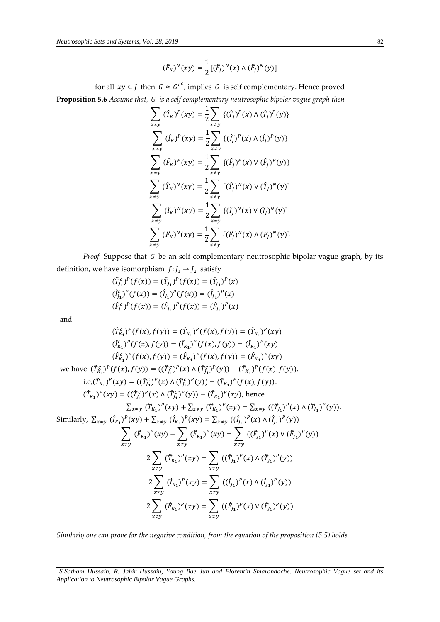$$
(\hat{F}_K)^N(xy) = \frac{1}{2} [(\hat{F}_J)^N(x) \wedge (\hat{F}_J)^N(y)]
$$

for all  $xy \in J$  then  $G \approx G^{c^c}$ , implies G is self complementary. Hence proved **Proposition 5.6** *Assume that, is a self complementary neutrosophic bipolar vague graph then*

$$
\sum_{x \neq y} (\hat{T}_K)^P(xy) = \frac{1}{2} \sum_{x \neq y} \{(\hat{T}_J)^P(x) \wedge (\hat{T}_J)^P(y)\}
$$
\n
$$
\sum_{x \neq y} (\hat{I}_K)^P(xy) = \frac{1}{2} \sum_{x \neq y} \{(\hat{I}_J)^P(x) \wedge (\hat{I}_J)^P(y)\}
$$
\n
$$
\sum_{x \neq y} (\hat{F}_K)^P(xy) = \frac{1}{2} \sum_{x \neq y} \{(\hat{F}_J)^P(x) \vee (\hat{F}_J)^P(y)\}
$$
\n
$$
\sum_{x \neq y} (\hat{T}_K)^N(xy) = \frac{1}{2} \sum_{x \neq y} \{(\hat{T}_J)^N(x) \vee (\hat{T}_J)^N(y)\}
$$
\n
$$
\sum_{x \neq y} (\hat{I}_K)^N(xy) = \frac{1}{2} \sum_{x \neq y} \{(\hat{I}_J)^N(x) \vee (\hat{I}_J)^N(y)\}
$$
\n
$$
\sum_{x \neq y} (\hat{F}_K)^N(xy) = \frac{1}{2} \sum_{x \neq y} \{(\hat{F}_J)^N(x) \wedge (\hat{F}_J)^N(y)\}
$$

Proof. Suppose that G be an self complementary neutrosophic bipolar vague graph, by its definition, we have isomorphism  $f: J_1 \rightarrow J_2$  satisfy

$$
\begin{aligned} (\hat{T}_{J_1}^c)^P(f(x)) &= (\hat{T}_{J_1})^P(f(x)) = (\hat{T}_{J_1})^P(x) \\ (\hat{I}_{J_1}^c)^P(f(x)) &= (\hat{I}_{J_1})^P(f(x)) = (\hat{I}_{J_1})^P(x) \\ (\hat{F}_{J_1}^c)^P(f(x)) &= (\hat{F}_{J_1})^P(f(x)) = (\hat{F}_{J_1})^P(x) \end{aligned}
$$

and

$$
(\hat{T}_{K_1}^c)^P(f(x), f(y)) = (\hat{T}_{K_1})^P(f(x), f(y)) = (\hat{T}_{K_1})^P(xy)
$$
  
\n
$$
(\hat{I}_{K_1}^c)^P(f(x), f(y)) = (\hat{I}_{K_1})^P(f(x), f(y)) = (\hat{I}_{K_1})^P(xy)
$$
  
\n
$$
(\hat{F}_{K_1}^c)^P(f(x), f(y)) = (\hat{F}_{K_1})^P(f(x), f(y)) = (\hat{F}_{K_1})^P(xy)
$$
  
\nwe have  $(\hat{T}_{K_1}^c)^P(f(x), f(y)) = ((\hat{T}_{L_1}^c)^P(x) \land (\hat{T}_{L_1}^c)^P(y)) - (\hat{T}_{K_1})^P(f(x), f(y))$ .  
\ni.e,  $(\hat{T}_{K_1})^P(xy) = ((\hat{T}_{L_1}^c)^P(x) \land (\hat{T}_{L_1}^c)^P(y)) - (\hat{T}_{K_1})^P(f(x), f(y))$ .  
\n $(\hat{T}_{K_1})^P(xy) = ((\hat{T}_{L_1}^c)^P(x) \land (\hat{T}_{L_1}^c)^P(y)) - (\hat{T}_{K_1})^P(xy)$ , hence  
\n $\sum_{x \neq y} (\hat{T}_{K_1})^P(xy) + \sum_{x \neq y} (\hat{T}_{K_1})^P(xy) = \sum_{x \neq y} ((\hat{I}_{L_1})^P(x) \land (\hat{I}_{L_1})^P(y))$ .  
\nSimilarly,  $\sum_{x \neq y} (\hat{I}_{K_1})^P(xy) + \sum_{x \neq y} (\hat{F}_{K_1})^P(xy) = \sum_{x \neq y} ((\hat{F}_{L_1})^P(x) \land (\hat{I}_{L_1})^P(y))$   
\n $\sum_{x \neq y} (\hat{F}_{K_1})^P(xy) + \sum_{x \neq y} (\hat{F}_{K_1})^P(xy) = \sum_{x \neq y} ((\hat{F}_{L_1})^P(x) \lor (\hat{F}_{L_1})^P(y))$   
\n $2 \sum_{x \neq y} (\hat{T}_{K_1})^P(xy) = \sum_{x \neq y} ((\hat{I}_{L_1})^P(x) \land (\hat{I}_{L_1})^P(y))$   
\n $2 \sum_{x \neq y} (\hat{F$ 

*Similarly one can prove for the negative condition, from the equation of the proposition (5.5) holds.*

*S.Satham Hussain, R. Jahir Hussain, Young Bae Jun and Florentin Smarandache. Neutrosophic Vague set and its Application to Neutrosophic Bipolar Vague Graphs.*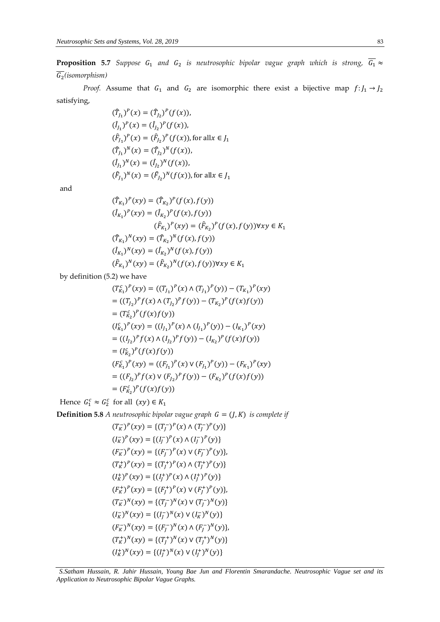**Proposition 5.7** Suppose  $G_1$  and  $G_2$  is neutrosophic bipolar vague graph which is strong,  $G_1 \approx$ 2 *(isomorphism)* 

*Proof.* Assume that  $G_1$  and  $G_2$  are isomorphic there exist a bijective map  $f: J_1 \rightarrow J_2$ satisfying,

> $(\hat{T}_{J_1})^P(x) = (\hat{T}_{J_2})^P(f(x)),$  $(\hat{I}_{J_1})^P(x) = (\hat{I}_{J_2})^P(f(x)),$  $(\hat{F}_{J_1})^P(x) = (\hat{F}_{J_2})^P(f(x))$ , for all $x \in J_1$  $(\hat{T}_{J_1})^N(x) = (\hat{T}_{J_2})^N(f(x)),$  $(\hat{I}_{J_1})^N(x) = (\hat{I}_{J_2})^N(f(x)),$  $(\hat{F}_{J_1})^N(x) = (\hat{F}_{J_2})^N(f(x))$ , for all  $x \in J_1$

and

$$
(\hat{T}_{K_1})^P(xy) = (\hat{T}_{K_2})^P(f(x), f(y))
$$
  
\n
$$
(\hat{I}_{K_1})^P(xy) = (\hat{I}_{K_2})^P(f(x), f(y))
$$
  
\n
$$
(\hat{F}_{K_1})^P(xy) = (\hat{F}_{K_2})^P(f(x), f(y)) \forall xy \in K_1
$$
  
\n
$$
(\hat{T}_{K_1})^N(xy) = (\hat{T}_{K_2})^N(f(x), f(y))
$$
  
\n
$$
(\hat{F}_{K_1})^N(xy) = (\hat{F}_{K_2})^N(f(x), f(y)) \forall xy \in K_1
$$

by definition (5.2) we have

$$
(T_{K_1}^c)^p(xy) = ((T_{J_1})^p(x) \wedge (T_{J_1})^p(y)) - (T_{K_1})^p(xy)
$$
  
\n
$$
= ((T_{J_2})^p f(x) \wedge (T_{J_2})^p f(y)) - (T_{K_2})^p (f(x)f(y))
$$
  
\n
$$
= (T_{K_2}^c)^p (f(x)f(y))
$$
  
\n
$$
(I_{K_1}^c)^p(xy) = ((I_{J_1})^p(x) \wedge (I_{J_1})^p(y)) - (I_{K_1})^p(xy)
$$
  
\n
$$
= ((I_{J_2})^p f(x) \wedge (I_{J_2})^p f(y)) - (I_{K_2})^p (f(x)f(y))
$$
  
\n
$$
= (I_{K_2}^c)^p (f(x)f(y))
$$
  
\n
$$
(F_{K_1}^c)^p f(x) \vee (F_{J_1})^p (y) - (F_{K_1})^p (xy)
$$
  
\n
$$
= ((F_{J_2})^p f(x) \vee (F_{J_2})^p f(y)) - (F_{K_2})^p (f(x)f(y))
$$
  
\n
$$
= (F_{K_2}^c)^p (f(x)f(y))
$$

Hence  $G_1^c \approx G_2^c$  for all  $(xy) \in K_1$ 

**Definition 5.8** *A neutrosophic bipolar vague graph*  $G = (J, K)$  *is complete if* 

$$
(T_K^-)^p(xy) = \{(T_J^-)^p(x) \land (T_J^-)^p(y)\}
$$
  
\n
$$
(I_K^-)^p(xy) = \{(I_J^-)^p(x) \land (I_J^-)^p(y)\}
$$
  
\n
$$
(F_K^-)^p(xy) = \{(F_J^-)^p(x) \lor (F_J^-)^p(y)\},
$$
  
\n
$$
(T_K^+)^p(xy) = \{(T_J^+)^p(x) \land (T_J^+)^p(y)\}
$$
  
\n
$$
(I_K^+)^p(xy) = \{(I_J^+)^p(x) \land (I_J^+)^p(y)\},
$$
  
\n
$$
(F_K^+)^p(xy) = \{(F_J^-)^N(x) \lor (F_J^+)^p(y)\},
$$
  
\n
$$
(T_K^-)^N(xy) = \{(T_J^-)^N(x) \lor (T_J^-)^N(y)\}
$$
  
\n
$$
(F_K^-)^N(xy) = \{(I_J^-)^N(x) \land (F_J^-)^N(y)\},
$$
  
\n
$$
(F_K^+)^N(xy) = \{(T_J^+)^N(x) \land (T_J^+)^N(y)\}
$$
  
\n
$$
(I_K^+)^N(xy) = \{(I_J^+)^N(x) \lor (I_J^+)^N(y)\}
$$

*S.Satham Hussain, R. Jahir Hussain, Young Bae Jun and Florentin Smarandache. Neutrosophic Vague set and its Application to Neutrosophic Bipolar Vague Graphs.*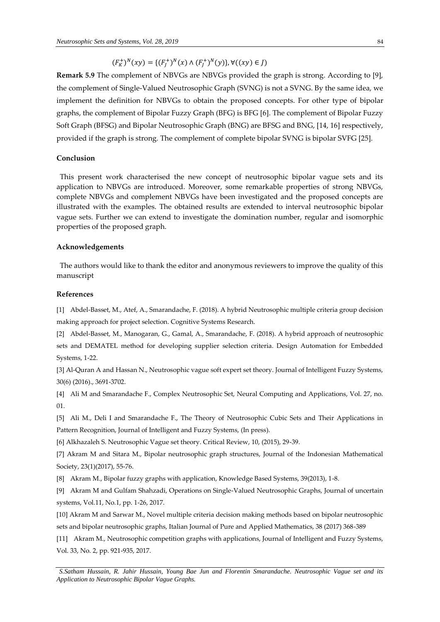# $(F_K^+)^N(xy) = \{ (F_J^+)^N(x) \wedge (F_J^+)^N(y) \}, \forall ((xy) \in J)$

**Remark 5.9** The complement of NBVGs are NBVGs provided the graph is strong. According to [9], the complement of Single-Valued Neutrosophic Graph (SVNG) is not a SVNG. By the same idea, we implement the definition for NBVGs to obtain the proposed concepts. For other type of bipolar graphs, the complement of Bipolar Fuzzy Graph (BFG) is BFG [6]. The complement of Bipolar Fuzzy Soft Graph (BFSG) and Bipolar Neutrosophic Graph (BNG) are BFSG and BNG, [14, 16] respectively, provided if the graph is strong. The complement of complete bipolar SVNG is bipolar SVFG [25].

## **Conclusion**

This present work characterised the new concept of neutrosophic bipolar vague sets and its application to NBVGs are introduced. Moreover, some remarkable properties of strong NBVGs, complete NBVGs and complement NBVGs have been investigated and the proposed concepts are illustrated with the examples. The obtained results are extended to interval neutrosophic bipolar vague sets. Further we can extend to investigate the domination number, regular and isomorphic properties of the proposed graph.

#### **Acknowledgements**

The authors would like to thank the editor and anonymous reviewers to improve the quality of this manuscript

#### **References**

[1] Abdel-Basset, M., Atef, A., Smarandache, F. (2018). A hybrid Neutrosophic multiple criteria group decision making approach for project selection. Cognitive Systems Research.

[2] Abdel-Basset, M., Manogaran, G., Gamal, A., Smarandache, F. (2018). A hybrid approach of neutrosophic sets and DEMATEL method for developing supplier selection criteria. Design Automation for Embedded Systems, 1-22.

[3] Al-Quran A and Hassan N., Neutrosophic vague soft expert set theory. Journal of Intelligent Fuzzy Systems, 30(6) (2016)., 3691-3702.

[4] Ali M and Smarandache F., Complex Neutrosophic Set, Neural Computing and Applications, Vol. 27, no. 01.

[5] Ali M., Deli I and Smarandache F., The Theory of Neutrosophic Cubic Sets and Their Applications in Pattern Recognition, Journal of Intelligent and Fuzzy Systems, (In press).

[6] Alkhazaleh S. Neutrosophic Vague set theory. Critical Review, 10, (2015), 29-39.

[7] Akram M and Sitara M., Bipolar neutrosophic graph structures, Journal of the Indonesian Mathematical Society, 23(1)(2017), 55-76.

[8] Akram M., Bipolar fuzzy graphs with application, Knowledge Based Systems, 39(2013), 1-8.

[9] Akram M and Gulfam Shahzadi, Operations on Single-Valued Neutrosophic Graphs, Journal of uncertain systems, Vol.11, No.1, pp. 1-26, 2017.

[10] Akram M and Sarwar M., Novel multiple criteria decision making methods based on bipolar neutrosophic sets and bipolar neutrosophic graphs, Italian Journal of Pure and Applied Mathematics, 38 (2017) 368-389

[11] Akram M., Neutrosophic competition graphs with applications, Journal of Intelligent and Fuzzy Systems, Vol. 33, No. 2, pp. 921-935, 2017.

*S.Satham Hussain, R. Jahir Hussain, Young Bae Jun and Florentin Smarandache. Neutrosophic Vague set and its Application to Neutrosophic Bipolar Vague Graphs.*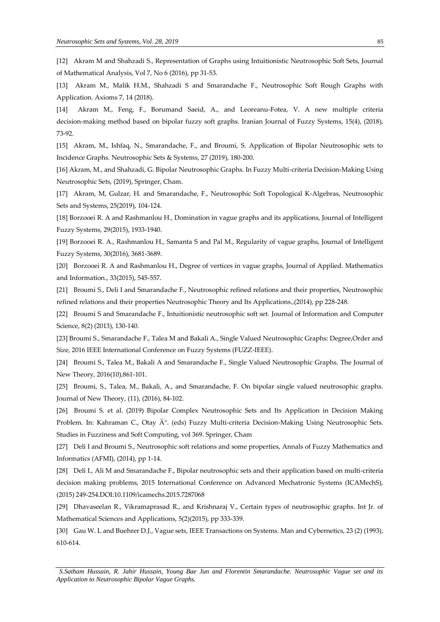[12] Akram M and Shahzadi S., Representation of Graphs using Intuitionistic Neutrosophic Soft Sets, Journal of Mathematical Analysis, Vol 7, No 6 (2016), pp 31-53.

[13] Akram M., Malik H.M., Shahzadi S and Smarandache F., Neutrosophic Soft Rough Graphs with Application. Axioms 7, 14 (2018).

[14] Akram M., Feng, F., Borumand Saeid, A., and Leoreanu-Fotea, V. A new multiple criteria decision-making method based on bipolar fuzzy soft graphs. Iranian Journal of Fuzzy Systems, 15(4), (2018), 73-92.

[15] Akram, M., Ishfaq, N., Smarandache, F., and Broumi, S. Application of Bipolar Neutrosophic sets to Incidence Graphs. Neutrosophic Sets & Systems, 27 (2019), 180-200.

[16] Akram, M., and Shahzadi, G. Bipolar Neutrosophic Graphs. In Fuzzy Multi-criteria Decision-Making Using Neutrosophic Sets, (2019), Springer, Cham.

[17] Akram, M, Gulzar, H. and Smarandache, F., Neutrosophic Soft Topological K-Algebras, Neutrosophic Sets and Systems, 25(2019), 104-124.

[18] Borzooei R. A and Rashmanlou H., Domination in vague graphs and its applications, Journal of Intelligent Fuzzy Systems, 29(2015), 1933-1940.

[19] Borzooei R. A., Rashmanlou H., Samanta S and Pal M., Regularity of vague graphs, Journal of Intelligent Fuzzy Systems, 30(2016), 3681-3689.

[20] Borzooei R. A and Rashmanlou H., Degree of vertices in vague graphs, Journal of Applied. Mathematics and Information., 33(2015), 545-557.

[21] Broumi S., Deli I and Smarandache F., Neutrosophic refined relations and their properties, Neutrosophic refined relations and their properties Neutrosophic Theory and Its Applications.,(2014), pp 228-248.

[22] Broumi S and Smarandache F., Intuitionistic neutrosophic soft set. Journal of Information and Computer Science, 8(2) (2013), 130-140.

[23] Broumi S., Smarandache F., Talea M and Bakali A., Single Valued Neutrosophic Graphs: Degree,Order and Size, 2016 IEEE International Conference on Fuzzy Systems (FUZZ-IEEE).

[24] Broumi S., Talea M., Bakali A and Smarandache F., Single Valued Neutrosophic Graphs. The Journal of New Theory, 2016(10),861-101.

[25] Broumi, S., Talea, M., Bakali, A., and Smarandache, F. On bipolar single valued neutrosophic graphs. Journal of New Theory, (11), (2016), 84-102.

[26] Broumi S. et al. (2019) Bipolar Complex Neutrosophic Sets and Its Application in Decision Making Problem. In: Kahraman C., Otay Ä<sup>o</sup>. (eds) Fuzzy Multi-criteria Decision-Making Using Neutrosophic Sets. Studies in Fuzziness and Soft Computing, vol 369. Springer, Cham

[27] Deli I and Broumi S., Neutrosophic soft relations and some properties, Annals of Fuzzy Mathematics and Informatics (AFMI), (2014), pp 1-14.

[28] Deli I., Ali M and Smarandache F., Bipolar neutrosophic sets and their application based on multi-criteria decision making problems, 2015 International Conference on Advanced Mechatronic Systems (ICAMechS), (2015) 249-254.DOI:10.1109/icamechs.2015.7287068

[29] Dhavaseelan R., Vikramaprasad R., and Krishnaraj V., Certain types of neutrosophic graphs. Int Jr. of Mathematical Sciences and Applications, 5(2)(2015), pp 333-339.

[30] Gau W. L and Buehrer D.J., Vague sets, IEEE Transactions on Systems. Man and Cybernetics, 23 (2) (1993), 610-614.

*S.Satham Hussain, R. Jahir Hussain, Young Bae Jun and Florentin Smarandache. Neutrosophic Vague set and its Application to Neutrosophic Bipolar Vague Graphs.*